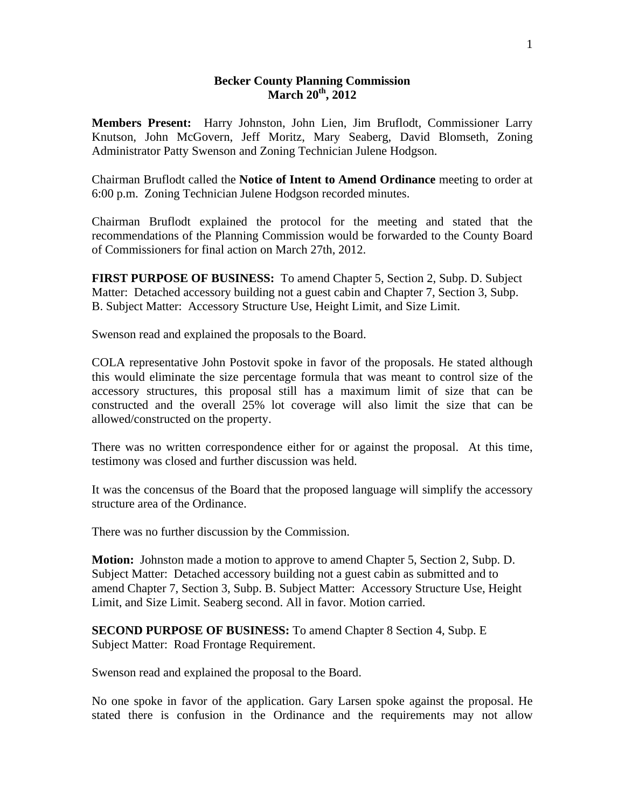## **Becker County Planning Commission March 20th, 2012**

**Members Present:** Harry Johnston, John Lien, Jim Bruflodt, Commissioner Larry Knutson, John McGovern, Jeff Moritz, Mary Seaberg, David Blomseth, Zoning Administrator Patty Swenson and Zoning Technician Julene Hodgson.

Chairman Bruflodt called the **Notice of Intent to Amend Ordinance** meeting to order at 6:00 p.m. Zoning Technician Julene Hodgson recorded minutes.

Chairman Bruflodt explained the protocol for the meeting and stated that the recommendations of the Planning Commission would be forwarded to the County Board of Commissioners for final action on March 27th, 2012.

**FIRST PURPOSE OF BUSINESS:** To amend Chapter 5, Section 2, Subp. D. Subject Matter: Detached accessory building not a guest cabin and Chapter 7, Section 3, Subp. B. Subject Matter: Accessory Structure Use, Height Limit, and Size Limit.

Swenson read and explained the proposals to the Board.

COLA representative John Postovit spoke in favor of the proposals. He stated although this would eliminate the size percentage formula that was meant to control size of the accessory structures, this proposal still has a maximum limit of size that can be constructed and the overall 25% lot coverage will also limit the size that can be allowed/constructed on the property.

There was no written correspondence either for or against the proposal. At this time, testimony was closed and further discussion was held.

It was the concensus of the Board that the proposed language will simplify the accessory structure area of the Ordinance.

There was no further discussion by the Commission.

**Motion:** Johnston made a motion to approve to amend Chapter 5, Section 2, Subp. D. Subject Matter: Detached accessory building not a guest cabin as submitted and to amend Chapter 7, Section 3, Subp. B. Subject Matter: Accessory Structure Use, Height Limit, and Size Limit. Seaberg second. All in favor. Motion carried.

**SECOND PURPOSE OF BUSINESS:** To amend Chapter 8 Section 4, Subp. E Subject Matter: Road Frontage Requirement.

Swenson read and explained the proposal to the Board.

No one spoke in favor of the application. Gary Larsen spoke against the proposal. He stated there is confusion in the Ordinance and the requirements may not allow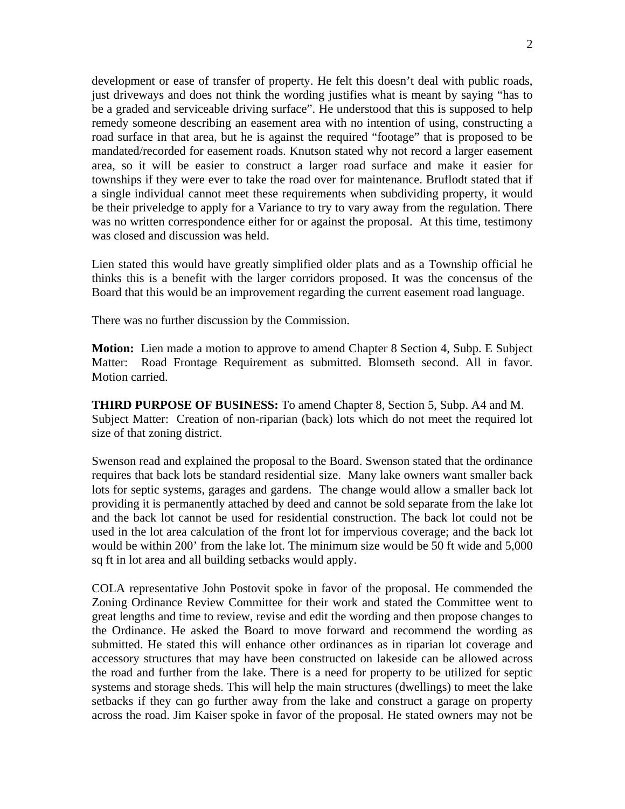development or ease of transfer of property. He felt this doesn't deal with public roads, just driveways and does not think the wording justifies what is meant by saying "has to be a graded and serviceable driving surface". He understood that this is supposed to help remedy someone describing an easement area with no intention of using, constructing a road surface in that area, but he is against the required "footage" that is proposed to be mandated/recorded for easement roads. Knutson stated why not record a larger easement area, so it will be easier to construct a larger road surface and make it easier for townships if they were ever to take the road over for maintenance. Bruflodt stated that if a single individual cannot meet these requirements when subdividing property, it would be their priveledge to apply for a Variance to try to vary away from the regulation. There was no written correspondence either for or against the proposal. At this time, testimony was closed and discussion was held.

Lien stated this would have greatly simplified older plats and as a Township official he thinks this is a benefit with the larger corridors proposed. It was the concensus of the Board that this would be an improvement regarding the current easement road language.

There was no further discussion by the Commission.

**Motion:** Lien made a motion to approve to amend Chapter 8 Section 4, Subp. E Subject Matter: Road Frontage Requirement as submitted. Blomseth second. All in favor. Motion carried.

**THIRD PURPOSE OF BUSINESS:** To amend Chapter 8, Section 5, Subp. A4 and M. Subject Matter: Creation of non-riparian (back) lots which do not meet the required lot size of that zoning district.

Swenson read and explained the proposal to the Board. Swenson stated that the ordinance requires that back lots be standard residential size. Many lake owners want smaller back lots for septic systems, garages and gardens. The change would allow a smaller back lot providing it is permanently attached by deed and cannot be sold separate from the lake lot and the back lot cannot be used for residential construction. The back lot could not be used in the lot area calculation of the front lot for impervious coverage; and the back lot would be within 200' from the lake lot. The minimum size would be 50 ft wide and 5,000 sq ft in lot area and all building setbacks would apply.

COLA representative John Postovit spoke in favor of the proposal. He commended the Zoning Ordinance Review Committee for their work and stated the Committee went to great lengths and time to review, revise and edit the wording and then propose changes to the Ordinance. He asked the Board to move forward and recommend the wording as submitted. He stated this will enhance other ordinances as in riparian lot coverage and accessory structures that may have been constructed on lakeside can be allowed across the road and further from the lake. There is a need for property to be utilized for septic systems and storage sheds. This will help the main structures (dwellings) to meet the lake setbacks if they can go further away from the lake and construct a garage on property across the road. Jim Kaiser spoke in favor of the proposal. He stated owners may not be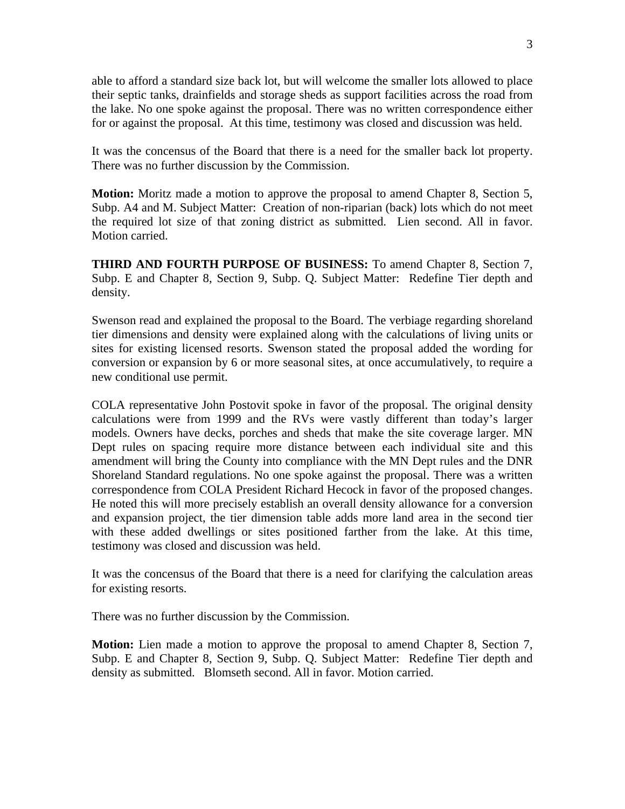able to afford a standard size back lot, but will welcome the smaller lots allowed to place their septic tanks, drainfields and storage sheds as support facilities across the road from the lake. No one spoke against the proposal. There was no written correspondence either for or against the proposal. At this time, testimony was closed and discussion was held.

It was the concensus of the Board that there is a need for the smaller back lot property. There was no further discussion by the Commission.

**Motion:** Moritz made a motion to approve the proposal to amend Chapter 8, Section 5, Subp. A4 and M. Subject Matter: Creation of non-riparian (back) lots which do not meet the required lot size of that zoning district as submitted. Lien second. All in favor. Motion carried.

**THIRD AND FOURTH PURPOSE OF BUSINESS:** To amend Chapter 8, Section 7, Subp. E and Chapter 8, Section 9, Subp. Q. Subject Matter: Redefine Tier depth and density.

Swenson read and explained the proposal to the Board. The verbiage regarding shoreland tier dimensions and density were explained along with the calculations of living units or sites for existing licensed resorts. Swenson stated the proposal added the wording for conversion or expansion by 6 or more seasonal sites, at once accumulatively, to require a new conditional use permit.

COLA representative John Postovit spoke in favor of the proposal. The original density calculations were from 1999 and the RVs were vastly different than today's larger models. Owners have decks, porches and sheds that make the site coverage larger. MN Dept rules on spacing require more distance between each individual site and this amendment will bring the County into compliance with the MN Dept rules and the DNR Shoreland Standard regulations. No one spoke against the proposal. There was a written correspondence from COLA President Richard Hecock in favor of the proposed changes. He noted this will more precisely establish an overall density allowance for a conversion and expansion project, the tier dimension table adds more land area in the second tier with these added dwellings or sites positioned farther from the lake. At this time, testimony was closed and discussion was held.

It was the concensus of the Board that there is a need for clarifying the calculation areas for existing resorts.

There was no further discussion by the Commission.

**Motion:** Lien made a motion to approve the proposal to amend Chapter 8, Section 7, Subp. E and Chapter 8, Section 9, Subp. Q. Subject Matter: Redefine Tier depth and density as submitted. Blomseth second. All in favor. Motion carried.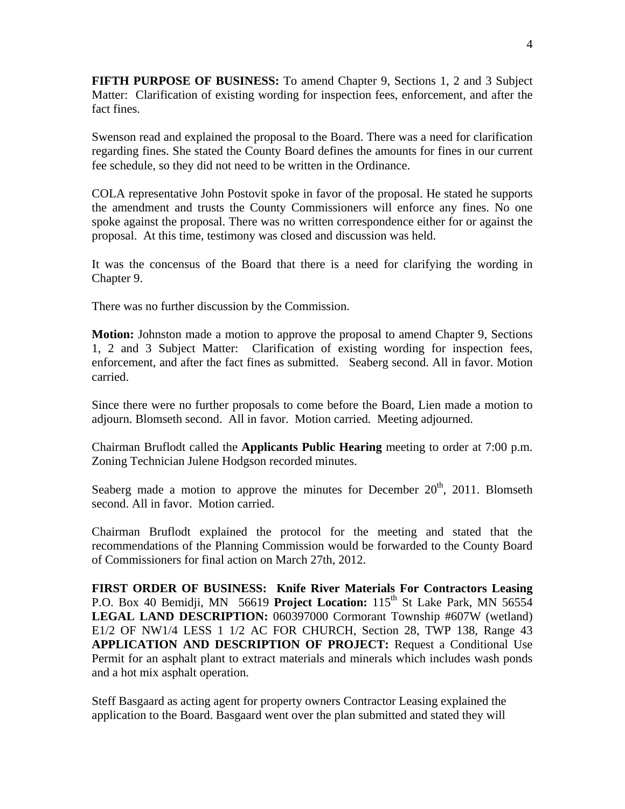**FIFTH PURPOSE OF BUSINESS:** To amend Chapter 9, Sections 1, 2 and 3 Subject Matter: Clarification of existing wording for inspection fees, enforcement, and after the fact fines.

Swenson read and explained the proposal to the Board. There was a need for clarification regarding fines. She stated the County Board defines the amounts for fines in our current fee schedule, so they did not need to be written in the Ordinance.

COLA representative John Postovit spoke in favor of the proposal. He stated he supports the amendment and trusts the County Commissioners will enforce any fines. No one spoke against the proposal. There was no written correspondence either for or against the proposal. At this time, testimony was closed and discussion was held.

It was the concensus of the Board that there is a need for clarifying the wording in Chapter 9.

There was no further discussion by the Commission.

**Motion:** Johnston made a motion to approve the proposal to amend Chapter 9, Sections 1, 2 and 3 Subject Matter: Clarification of existing wording for inspection fees, enforcement, and after the fact fines as submitted. Seaberg second. All in favor. Motion carried.

Since there were no further proposals to come before the Board, Lien made a motion to adjourn. Blomseth second. All in favor. Motion carried. Meeting adjourned.

Chairman Bruflodt called the **Applicants Public Hearing** meeting to order at 7:00 p.m. Zoning Technician Julene Hodgson recorded minutes.

Seaberg made a motion to approve the minutes for December  $20<sup>th</sup>$ , 2011. Blomseth second. All in favor. Motion carried.

Chairman Bruflodt explained the protocol for the meeting and stated that the recommendations of the Planning Commission would be forwarded to the County Board of Commissioners for final action on March 27th, 2012.

**FIRST ORDER OF BUSINESS: Knife River Materials For Contractors Leasing** P.O. Box 40 Bemidji, MN 56619 **Project Location:** 115<sup>th</sup> St Lake Park, MN 56554 **LEGAL LAND DESCRIPTION:** 060397000 Cormorant Township #607W (wetland) E1/2 OF NW1/4 LESS 1 1/2 AC FOR CHURCH, Section 28, TWP 138, Range 43 **APPLICATION AND DESCRIPTION OF PROJECT:** Request a Conditional Use Permit for an asphalt plant to extract materials and minerals which includes wash ponds and a hot mix asphalt operation.

Steff Basgaard as acting agent for property owners Contractor Leasing explained the application to the Board. Basgaard went over the plan submitted and stated they will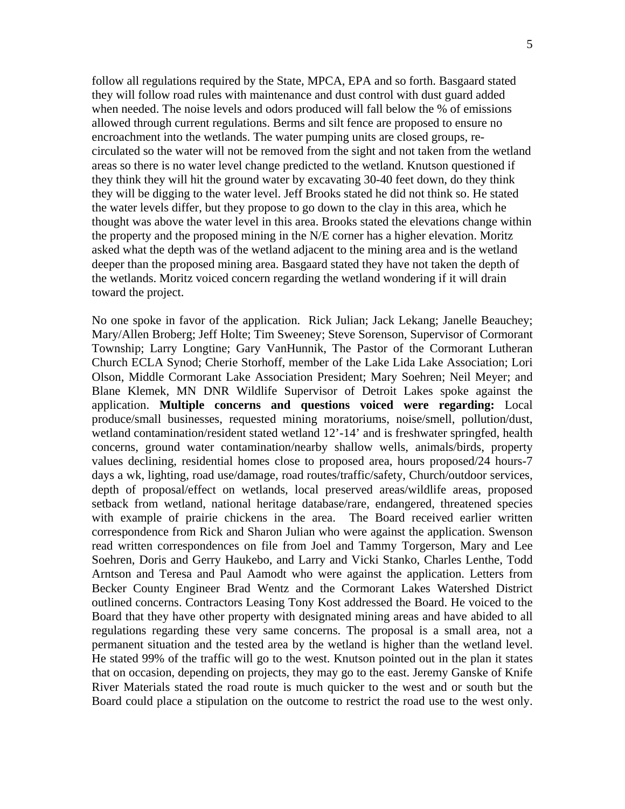follow all regulations required by the State, MPCA, EPA and so forth. Basgaard stated they will follow road rules with maintenance and dust control with dust guard added when needed. The noise levels and odors produced will fall below the % of emissions allowed through current regulations. Berms and silt fence are proposed to ensure no encroachment into the wetlands. The water pumping units are closed groups, recirculated so the water will not be removed from the sight and not taken from the wetland areas so there is no water level change predicted to the wetland. Knutson questioned if they think they will hit the ground water by excavating 30-40 feet down, do they think they will be digging to the water level. Jeff Brooks stated he did not think so. He stated the water levels differ, but they propose to go down to the clay in this area, which he thought was above the water level in this area. Brooks stated the elevations change within the property and the proposed mining in the N/E corner has a higher elevation. Moritz asked what the depth was of the wetland adjacent to the mining area and is the wetland deeper than the proposed mining area. Basgaard stated they have not taken the depth of the wetlands. Moritz voiced concern regarding the wetland wondering if it will drain toward the project.

No one spoke in favor of the application. Rick Julian; Jack Lekang; Janelle Beauchey; Mary/Allen Broberg; Jeff Holte; Tim Sweeney; Steve Sorenson, Supervisor of Cormorant Township; Larry Longtine; Gary VanHunnik, The Pastor of the Cormorant Lutheran Church ECLA Synod; Cherie Storhoff, member of the Lake Lida Lake Association; Lori Olson, Middle Cormorant Lake Association President; Mary Soehren; Neil Meyer; and Blane Klemek, MN DNR Wildlife Supervisor of Detroit Lakes spoke against the application. **Multiple concerns and questions voiced were regarding:** Local produce/small businesses, requested mining moratoriums, noise/smell, pollution/dust, wetland contamination/resident stated wetland 12'-14' and is freshwater springfed, health concerns, ground water contamination/nearby shallow wells, animals/birds, property values declining, residential homes close to proposed area, hours proposed/24 hours-7 days a wk, lighting, road use/damage, road routes/traffic/safety, Church/outdoor services, depth of proposal/effect on wetlands, local preserved areas/wildlife areas, proposed setback from wetland, national heritage database/rare, endangered, threatened species with example of prairie chickens in the area. The Board received earlier written correspondence from Rick and Sharon Julian who were against the application. Swenson read written correspondences on file from Joel and Tammy Torgerson, Mary and Lee Soehren, Doris and Gerry Haukebo, and Larry and Vicki Stanko, Charles Lenthe, Todd Arntson and Teresa and Paul Aamodt who were against the application. Letters from Becker County Engineer Brad Wentz and the Cormorant Lakes Watershed District outlined concerns. Contractors Leasing Tony Kost addressed the Board. He voiced to the Board that they have other property with designated mining areas and have abided to all regulations regarding these very same concerns. The proposal is a small area, not a permanent situation and the tested area by the wetland is higher than the wetland level. He stated 99% of the traffic will go to the west. Knutson pointed out in the plan it states that on occasion, depending on projects, they may go to the east. Jeremy Ganske of Knife River Materials stated the road route is much quicker to the west and or south but the Board could place a stipulation on the outcome to restrict the road use to the west only.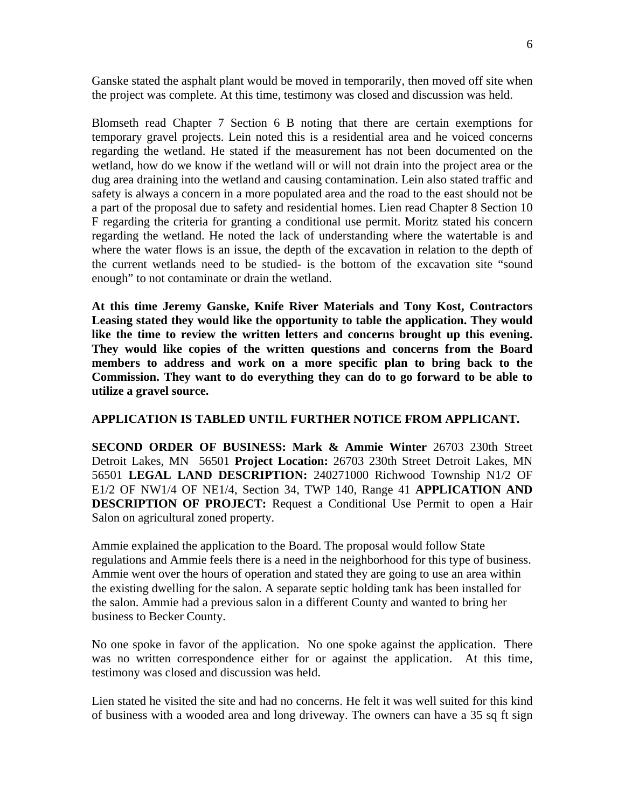Ganske stated the asphalt plant would be moved in temporarily, then moved off site when the project was complete. At this time, testimony was closed and discussion was held.

Blomseth read Chapter 7 Section 6 B noting that there are certain exemptions for temporary gravel projects. Lein noted this is a residential area and he voiced concerns regarding the wetland. He stated if the measurement has not been documented on the wetland, how do we know if the wetland will or will not drain into the project area or the dug area draining into the wetland and causing contamination. Lein also stated traffic and safety is always a concern in a more populated area and the road to the east should not be a part of the proposal due to safety and residential homes. Lien read Chapter 8 Section 10 F regarding the criteria for granting a conditional use permit. Moritz stated his concern regarding the wetland. He noted the lack of understanding where the watertable is and where the water flows is an issue, the depth of the excavation in relation to the depth of the current wetlands need to be studied- is the bottom of the excavation site "sound enough" to not contaminate or drain the wetland.

**At this time Jeremy Ganske, Knife River Materials and Tony Kost, Contractors Leasing stated they would like the opportunity to table the application. They would like the time to review the written letters and concerns brought up this evening. They would like copies of the written questions and concerns from the Board members to address and work on a more specific plan to bring back to the Commission. They want to do everything they can do to go forward to be able to utilize a gravel source.** 

## **APPLICATION IS TABLED UNTIL FURTHER NOTICE FROM APPLICANT.**

**SECOND ORDER OF BUSINESS: Mark & Ammie Winter** 26703 230th Street Detroit Lakes, MN 56501 **Project Location:** 26703 230th Street Detroit Lakes, MN 56501 **LEGAL LAND DESCRIPTION:** 240271000 Richwood Township N1/2 OF E1/2 OF NW1/4 OF NE1/4, Section 34, TWP 140, Range 41 **APPLICATION AND DESCRIPTION OF PROJECT:** Request a Conditional Use Permit to open a Hair Salon on agricultural zoned property.

Ammie explained the application to the Board. The proposal would follow State regulations and Ammie feels there is a need in the neighborhood for this type of business. Ammie went over the hours of operation and stated they are going to use an area within the existing dwelling for the salon. A separate septic holding tank has been installed for the salon. Ammie had a previous salon in a different County and wanted to bring her business to Becker County.

No one spoke in favor of the application. No one spoke against the application. There was no written correspondence either for or against the application. At this time, testimony was closed and discussion was held.

Lien stated he visited the site and had no concerns. He felt it was well suited for this kind of business with a wooded area and long driveway. The owners can have a 35 sq ft sign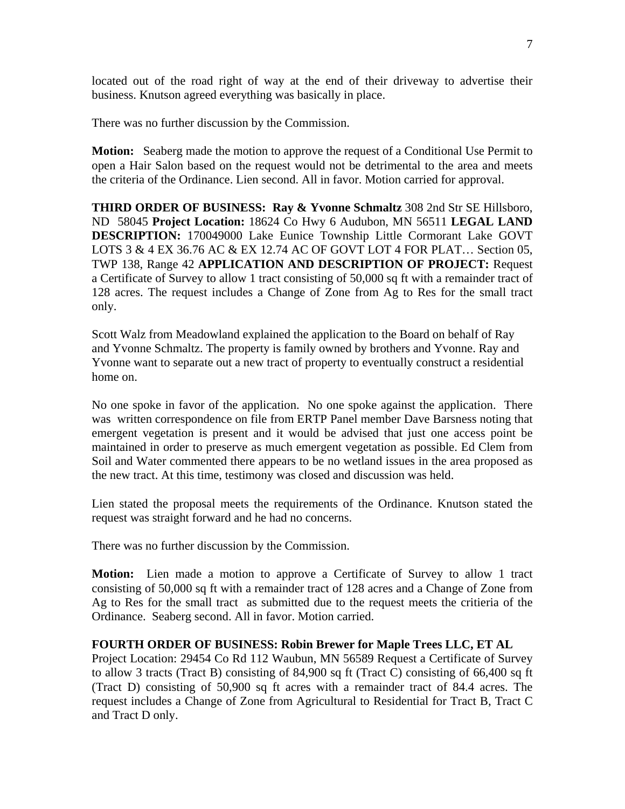located out of the road right of way at the end of their driveway to advertise their business. Knutson agreed everything was basically in place.

There was no further discussion by the Commission.

**Motion:** Seaberg made the motion to approve the request of a Conditional Use Permit to open a Hair Salon based on the request would not be detrimental to the area and meets the criteria of the Ordinance. Lien second. All in favor. Motion carried for approval.

**THIRD ORDER OF BUSINESS: Ray & Yvonne Schmaltz** 308 2nd Str SE Hillsboro, ND 58045 **Project Location:** 18624 Co Hwy 6 Audubon, MN 56511 **LEGAL LAND DESCRIPTION:** 170049000 Lake Eunice Township Little Cormorant Lake GOVT LOTS 3 & 4 EX 36.76 AC & EX 12.74 AC OF GOVT LOT 4 FOR PLAT… Section 05, TWP 138, Range 42 **APPLICATION AND DESCRIPTION OF PROJECT:** Request a Certificate of Survey to allow 1 tract consisting of 50,000 sq ft with a remainder tract of 128 acres. The request includes a Change of Zone from Ag to Res for the small tract only.

Scott Walz from Meadowland explained the application to the Board on behalf of Ray and Yvonne Schmaltz. The property is family owned by brothers and Yvonne. Ray and Yvonne want to separate out a new tract of property to eventually construct a residential home on.

No one spoke in favor of the application. No one spoke against the application. There was written correspondence on file from ERTP Panel member Dave Barsness noting that emergent vegetation is present and it would be advised that just one access point be maintained in order to preserve as much emergent vegetation as possible. Ed Clem from Soil and Water commented there appears to be no wetland issues in the area proposed as the new tract. At this time, testimony was closed and discussion was held.

Lien stated the proposal meets the requirements of the Ordinance. Knutson stated the request was straight forward and he had no concerns.

There was no further discussion by the Commission.

**Motion:** Lien made a motion to approve a Certificate of Survey to allow 1 tract consisting of 50,000 sq ft with a remainder tract of 128 acres and a Change of Zone from Ag to Res for the small tract as submitted due to the request meets the critieria of the Ordinance. Seaberg second. All in favor. Motion carried.

## **FOURTH ORDER OF BUSINESS: Robin Brewer for Maple Trees LLC, ET AL**

Project Location: 29454 Co Rd 112 Waubun, MN 56589 Request a Certificate of Survey to allow 3 tracts (Tract B) consisting of 84,900 sq ft (Tract C) consisting of 66,400 sq ft (Tract D) consisting of 50,900 sq ft acres with a remainder tract of 84.4 acres. The request includes a Change of Zone from Agricultural to Residential for Tract B, Tract C and Tract D only.